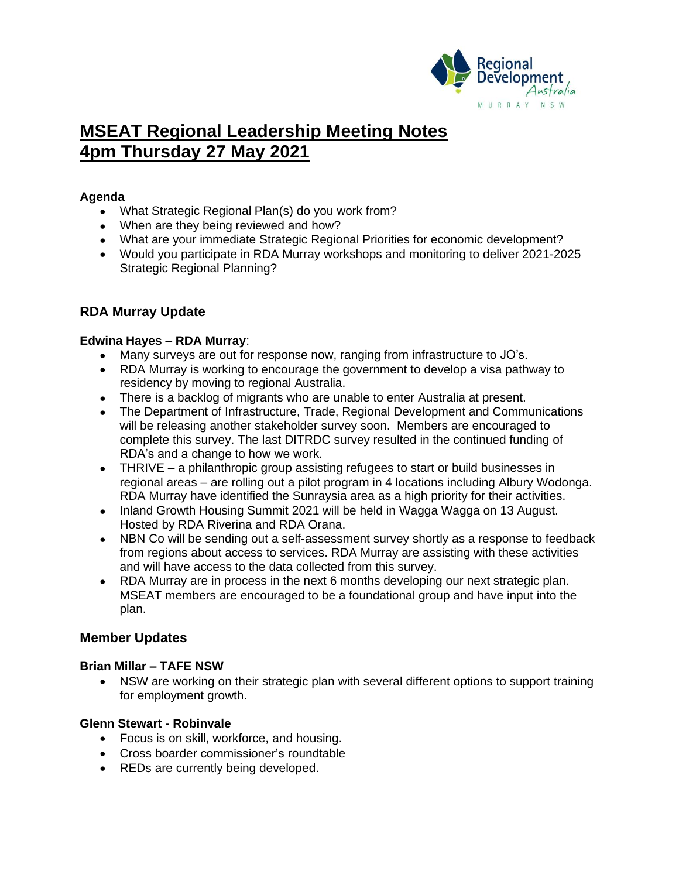

# **MSEAT Regional Leadership Meeting Notes 4pm Thursday 27 May 2021**

# **Agenda**

- What Strategic Regional Plan(s) do you work from?
- When are they being reviewed and how?
- What are your immediate Strategic Regional Priorities for economic development?
- Would you participate in RDA Murray workshops and monitoring to deliver 2021-2025 Strategic Regional Planning?

# **RDA Murray Update**

## **Edwina Hayes – RDA Murray**:

- Many surveys are out for response now, ranging from infrastructure to JO's.
- RDA Murray is working to encourage the government to develop a visa pathway to residency by moving to regional Australia.
- There is a backlog of migrants who are unable to enter Australia at present.
- The Department of Infrastructure, Trade, Regional Development and Communications will be releasing another stakeholder survey soon. Members are encouraged to complete this survey. The last DITRDC survey resulted in the continued funding of RDA's and a change to how we work.
- THRIVE a philanthropic group assisting refugees to start or build businesses in regional areas – are rolling out a pilot program in 4 locations including Albury Wodonga. RDA Murray have identified the Sunraysia area as a high priority for their activities.
- Inland Growth Housing Summit 2021 will be held in Wagga Wagga on 13 August. Hosted by RDA Riverina and RDA Orana.
- NBN Co will be sending out a self-assessment survey shortly as a response to feedback from regions about access to services. RDA Murray are assisting with these activities and will have access to the data collected from this survey.
- RDA Murray are in process in the next 6 months developing our next strategic plan. MSEAT members are encouraged to be a foundational group and have input into the plan.

## **Member Updates**

## **Brian Millar – TAFE NSW**

• NSW are working on their strategic plan with several different options to support training for employment growth.

## **Glenn Stewart - Robinvale**

- Focus is on skill, workforce, and housing.
- Cross boarder commissioner's roundtable
- REDs are currently being developed.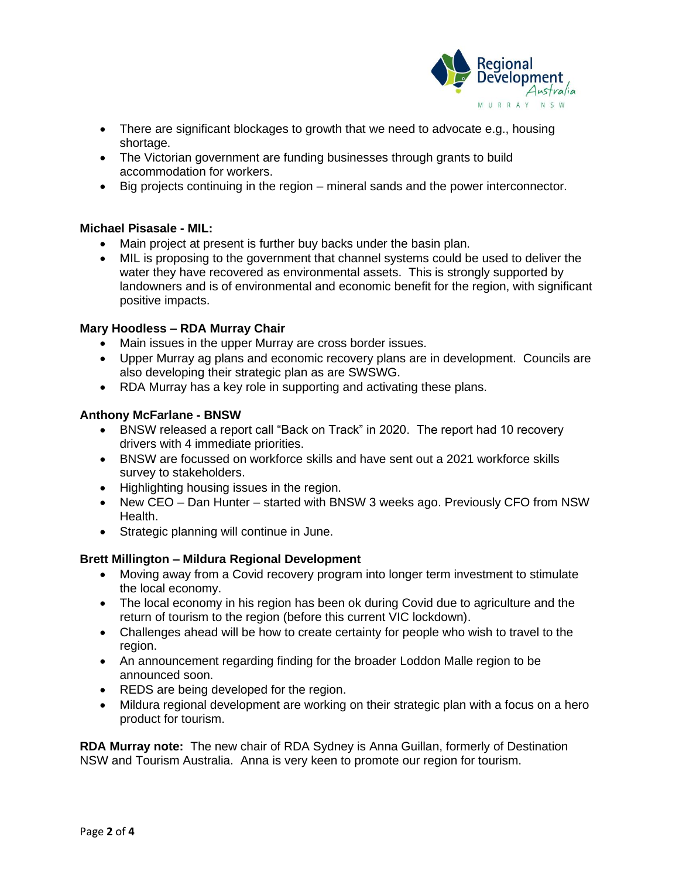

- There are significant blockages to growth that we need to advocate e.g., housing shortage.
- The Victorian government are funding businesses through grants to build accommodation for workers.
- Big projects continuing in the region mineral sands and the power interconnector.

## **Michael Pisasale - MIL:**

- Main project at present is further buy backs under the basin plan.
- MIL is proposing to the government that channel systems could be used to deliver the water they have recovered as environmental assets. This is strongly supported by landowners and is of environmental and economic benefit for the region, with significant positive impacts.

## **Mary Hoodless – RDA Murray Chair**

- Main issues in the upper Murray are cross border issues.
- Upper Murray ag plans and economic recovery plans are in development. Councils are also developing their strategic plan as are SWSWG.
- RDA Murray has a key role in supporting and activating these plans.

## **Anthony McFarlane - BNSW**

- BNSW released a report call "Back on Track" in 2020. The report had 10 recovery drivers with 4 immediate priorities.
- BNSW are focussed on workforce skills and have sent out a 2021 workforce skills survey to stakeholders.
- Highlighting housing issues in the region.
- New CEO Dan Hunter started with BNSW 3 weeks ago. Previously CFO from NSW Health.
- Strategic planning will continue in June.

#### **Brett Millington – Mildura Regional Development**

- Moving away from a Covid recovery program into longer term investment to stimulate the local economy.
- The local economy in his region has been ok during Covid due to agriculture and the return of tourism to the region (before this current VIC lockdown).
- Challenges ahead will be how to create certainty for people who wish to travel to the region.
- An announcement regarding finding for the broader Loddon Malle region to be announced soon.
- REDS are being developed for the region.
- Mildura regional development are working on their strategic plan with a focus on a hero product for tourism.

**RDA Murray note:** The new chair of RDA Sydney is Anna Guillan, formerly of Destination NSW and Tourism Australia. Anna is very keen to promote our region for tourism.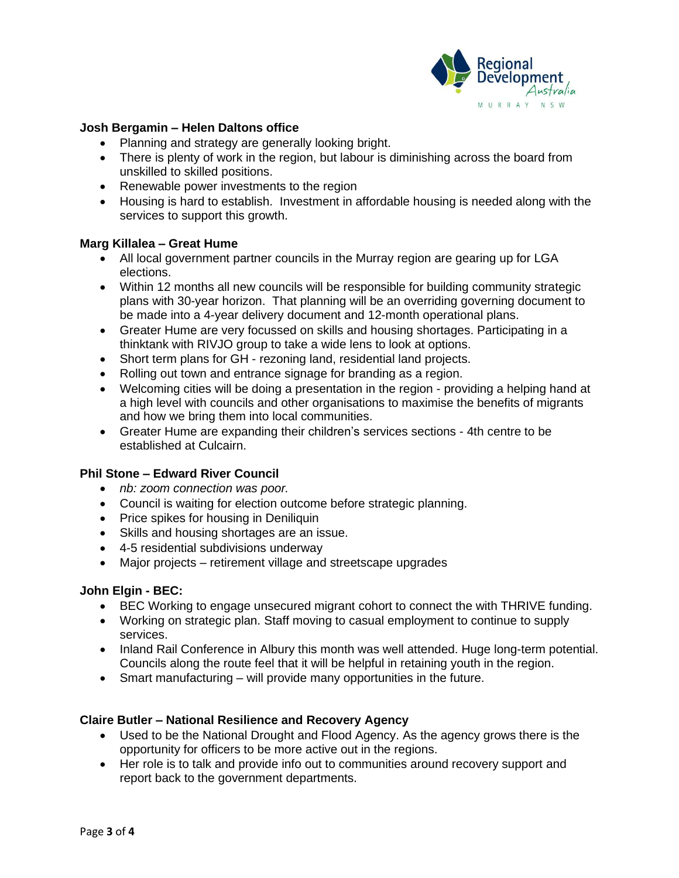

## **Josh Bergamin – Helen Daltons office**

- Planning and strategy are generally looking bright.
- There is plenty of work in the region, but labour is diminishing across the board from unskilled to skilled positions.
- Renewable power investments to the region
- Housing is hard to establish. Investment in affordable housing is needed along with the services to support this growth.

## **Marg Killalea – Great Hume**

- All local government partner councils in the Murray region are gearing up for LGA elections.
- Within 12 months all new councils will be responsible for building community strategic plans with 30-year horizon. That planning will be an overriding governing document to be made into a 4-year delivery document and 12-month operational plans.
- Greater Hume are very focussed on skills and housing shortages. Participating in a thinktank with RIVJO group to take a wide lens to look at options.
- Short term plans for GH rezoning land, residential land projects.
- Rolling out town and entrance signage for branding as a region.
- Welcoming cities will be doing a presentation in the region providing a helping hand at a high level with councils and other organisations to maximise the benefits of migrants and how we bring them into local communities.
- Greater Hume are expanding their children's services sections 4th centre to be established at Culcairn.

#### **Phil Stone – Edward River Council**

- *nb: zoom connection was poor.*
- Council is waiting for election outcome before strategic planning.
- Price spikes for housing in Deniliquin
- Skills and housing shortages are an issue.
- 4-5 residential subdivisions underway
- Major projects retirement village and streetscape upgrades

#### **John Elgin - BEC:**

- BEC Working to engage unsecured migrant cohort to connect the with THRIVE funding.
- Working on strategic plan. Staff moving to casual employment to continue to supply services.
- Inland Rail Conference in Albury this month was well attended. Huge long-term potential. Councils along the route feel that it will be helpful in retaining youth in the region.
- Smart manufacturing will provide many opportunities in the future.

## **Claire Butler – National Resilience and Recovery Agency**

- Used to be the National Drought and Flood Agency. As the agency grows there is the opportunity for officers to be more active out in the regions.
- Her role is to talk and provide info out to communities around recovery support and report back to the government departments.